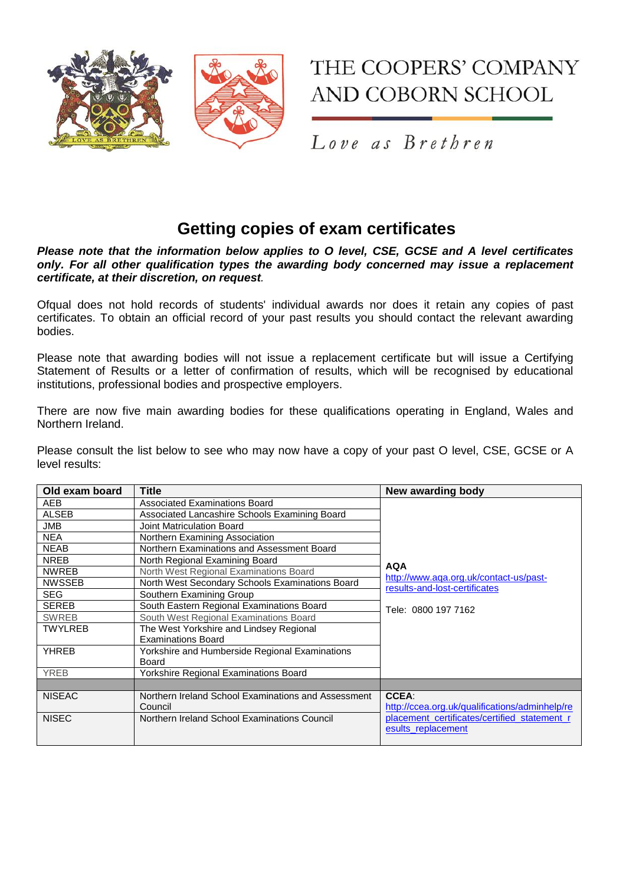

## THE COOPERS' COMPANY **AND COBORN SCHOOL**

Love as Brethren

## **Getting copies of exam certificates**

*Please note that the information below applies to O level, CSE, GCSE and A level certificates only. For all other qualification types the awarding body concerned may issue a replacement certificate, at their discretion, on request.* 

Ofqual does not hold records of students' individual awards nor does it retain any copies of past certificates. To obtain an official record of your past results you should contact the relevant awarding bodies.

Please note that awarding bodies will not issue a replacement certificate but will issue a Certifying Statement of Results or a letter of confirmation of results, which will be recognised by educational institutions, professional bodies and prospective employers.

There are now five main awarding bodies for these qualifications operating in England, Wales and Northern Ireland.

Please consult the list below to see who may now have a copy of your past O level, CSE, GCSE or A level results:

| Old exam board | <b>Title</b>                                        | New awarding body                                                                                            |
|----------------|-----------------------------------------------------|--------------------------------------------------------------------------------------------------------------|
| AEB            | <b>Associated Examinations Board</b>                |                                                                                                              |
| <b>ALSEB</b>   | Associated Lancashire Schools Examining Board       |                                                                                                              |
| <b>JMB</b>     | Joint Matriculation Board                           |                                                                                                              |
| <b>NEA</b>     | Northern Examining Association                      |                                                                                                              |
| <b>NEAB</b>    | Northern Examinations and Assessment Board          | <b>AQA</b><br>http://www.aqa.org.uk/contact-us/past-<br>results-and-lost-certificates<br>Tele: 0800 197 7162 |
| <b>NREB</b>    | North Regional Examining Board                      |                                                                                                              |
| <b>NWREB</b>   | North West Regional Examinations Board              |                                                                                                              |
| <b>NWSSEB</b>  | North West Secondary Schools Examinations Board     |                                                                                                              |
| <b>SEG</b>     | Southern Examining Group                            |                                                                                                              |
| <b>SEREB</b>   | South Eastern Regional Examinations Board           |                                                                                                              |
| <b>SWREB</b>   | South West Regional Examinations Board              |                                                                                                              |
| <b>TWYLREB</b> | The West Yorkshire and Lindsey Regional             |                                                                                                              |
|                | <b>Examinations Board</b>                           |                                                                                                              |
| <b>YHREB</b>   | Yorkshire and Humberside Regional Examinations      |                                                                                                              |
|                | <b>Board</b>                                        |                                                                                                              |
| <b>YREB</b>    | Yorkshire Regional Examinations Board               |                                                                                                              |
|                |                                                     |                                                                                                              |
| <b>NISEAC</b>  | Northern Ireland School Examinations and Assessment | <b>CCEA:</b>                                                                                                 |
|                | Council                                             | http://ccea.org.uk/qualifications/adminhelp/re                                                               |
| <b>NISEC</b>   | Northern Ireland School Examinations Council        | placement_certificates/certified_statement_r                                                                 |
|                |                                                     | esults replacement                                                                                           |
|                |                                                     |                                                                                                              |